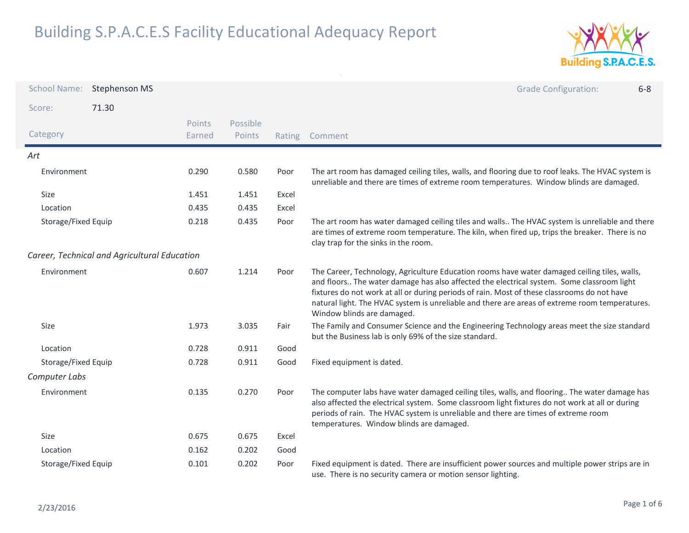

| <b>School Name:</b> | <b>Stephenson MS</b>                         |                  |                    |        | <b>Grade Configuration:</b><br>$6 - 8$                                                                                                                                                                                                                                                                                                                                                                                   |  |
|---------------------|----------------------------------------------|------------------|--------------------|--------|--------------------------------------------------------------------------------------------------------------------------------------------------------------------------------------------------------------------------------------------------------------------------------------------------------------------------------------------------------------------------------------------------------------------------|--|
| Score:              | 71.30                                        |                  |                    |        |                                                                                                                                                                                                                                                                                                                                                                                                                          |  |
| Category            |                                              | Points<br>Earned | Possible<br>Points | Rating | Comment                                                                                                                                                                                                                                                                                                                                                                                                                  |  |
| Art                 |                                              |                  |                    |        |                                                                                                                                                                                                                                                                                                                                                                                                                          |  |
| Environment         |                                              | 0.290            | 0.580              | Poor   | The art room has damaged ceiling tiles, walls, and flooring due to roof leaks. The HVAC system is<br>unreliable and there are times of extreme room temperatures. Window blinds are damaged.                                                                                                                                                                                                                             |  |
| Size                |                                              | 1.451            | 1.451              | Excel  |                                                                                                                                                                                                                                                                                                                                                                                                                          |  |
| Location            |                                              | 0.435            | 0.435              | Excel  |                                                                                                                                                                                                                                                                                                                                                                                                                          |  |
| Storage/Fixed Equip |                                              | 0.218            | 0.435              | Poor   | The art room has water damaged ceiling tiles and walls The HVAC system is unreliable and there<br>are times of extreme room temperature. The kiln, when fired up, trips the breaker. There is no<br>clay trap for the sinks in the room.                                                                                                                                                                                 |  |
|                     | Career, Technical and Agricultural Education |                  |                    |        |                                                                                                                                                                                                                                                                                                                                                                                                                          |  |
| Environment         |                                              | 0.607            | 1.214              | Poor   | The Career, Technology, Agriculture Education rooms have water damaged ceiling tiles, walls,<br>and floors The water damage has also affected the electrical system. Some classroom light<br>fixtures do not work at all or during periods of rain. Most of these classrooms do not have<br>natural light. The HVAC system is unreliable and there are areas of extreme room temperatures.<br>Window blinds are damaged. |  |
| Size                |                                              | 1.973            | 3.035              | Fair   | The Family and Consumer Science and the Engineering Technology areas meet the size standard<br>but the Business lab is only 69% of the size standard.                                                                                                                                                                                                                                                                    |  |
| Location            |                                              | 0.728            | 0.911              | Good   |                                                                                                                                                                                                                                                                                                                                                                                                                          |  |
| Storage/Fixed Equip |                                              | 0.728            | 0.911              | Good   | Fixed equipment is dated.                                                                                                                                                                                                                                                                                                                                                                                                |  |
| Computer Labs       |                                              |                  |                    |        |                                                                                                                                                                                                                                                                                                                                                                                                                          |  |
| Environment         |                                              | 0.135            | 0.270              | Poor   | The computer labs have water damaged ceiling tiles, walls, and flooring The water damage has<br>also affected the electrical system. Some classroom light fixtures do not work at all or during<br>periods of rain. The HVAC system is unreliable and there are times of extreme room<br>temperatures. Window blinds are damaged.                                                                                        |  |
| Size                |                                              | 0.675            | 0.675              | Excel  |                                                                                                                                                                                                                                                                                                                                                                                                                          |  |
| Location            |                                              | 0.162            | 0.202              | Good   |                                                                                                                                                                                                                                                                                                                                                                                                                          |  |
| Storage/Fixed Equip |                                              | 0.101            | 0.202              | Poor   | Fixed equipment is dated. There are insufficient power sources and multiple power strips are in<br>use. There is no security camera or motion sensor lighting.                                                                                                                                                                                                                                                           |  |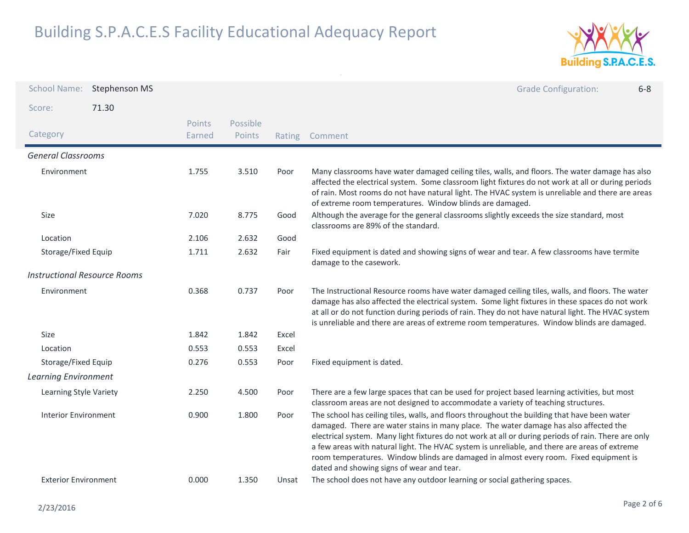

| <b>School Name:</b>                 | Stephenson MS |                  |                    |        | <b>Grade Configuration:</b><br>$6 - 8$                                                                                                                                                                                                                                                                                                                                                                                                                                                                                              |
|-------------------------------------|---------------|------------------|--------------------|--------|-------------------------------------------------------------------------------------------------------------------------------------------------------------------------------------------------------------------------------------------------------------------------------------------------------------------------------------------------------------------------------------------------------------------------------------------------------------------------------------------------------------------------------------|
| Score:                              | 71.30         |                  |                    |        |                                                                                                                                                                                                                                                                                                                                                                                                                                                                                                                                     |
| Category                            |               | Points<br>Earned | Possible<br>Points | Rating | Comment                                                                                                                                                                                                                                                                                                                                                                                                                                                                                                                             |
| <b>General Classrooms</b>           |               |                  |                    |        |                                                                                                                                                                                                                                                                                                                                                                                                                                                                                                                                     |
| Environment                         |               | 1.755            | 3.510              | Poor   | Many classrooms have water damaged ceiling tiles, walls, and floors. The water damage has also<br>affected the electrical system. Some classroom light fixtures do not work at all or during periods<br>of rain. Most rooms do not have natural light. The HVAC system is unreliable and there are areas<br>of extreme room temperatures. Window blinds are damaged.                                                                                                                                                                |
| Size                                |               | 7.020            | 8.775              | Good   | Although the average for the general classrooms slightly exceeds the size standard, most<br>classrooms are 89% of the standard.                                                                                                                                                                                                                                                                                                                                                                                                     |
| Location                            |               | 2.106            | 2.632              | Good   |                                                                                                                                                                                                                                                                                                                                                                                                                                                                                                                                     |
| Storage/Fixed Equip                 |               | 1.711            | 2.632              | Fair   | Fixed equipment is dated and showing signs of wear and tear. A few classrooms have termite<br>damage to the casework.                                                                                                                                                                                                                                                                                                                                                                                                               |
| <b>Instructional Resource Rooms</b> |               |                  |                    |        |                                                                                                                                                                                                                                                                                                                                                                                                                                                                                                                                     |
| Environment                         |               | 0.368            | 0.737              | Poor   | The Instructional Resource rooms have water damaged ceiling tiles, walls, and floors. The water<br>damage has also affected the electrical system. Some light fixtures in these spaces do not work<br>at all or do not function during periods of rain. They do not have natural light. The HVAC system<br>is unreliable and there are areas of extreme room temperatures. Window blinds are damaged.                                                                                                                               |
| Size                                |               | 1.842            | 1.842              | Excel  |                                                                                                                                                                                                                                                                                                                                                                                                                                                                                                                                     |
| Location                            |               | 0.553            | 0.553              | Excel  |                                                                                                                                                                                                                                                                                                                                                                                                                                                                                                                                     |
| Storage/Fixed Equip                 |               | 0.276            | 0.553              | Poor   | Fixed equipment is dated.                                                                                                                                                                                                                                                                                                                                                                                                                                                                                                           |
| <b>Learning Environment</b>         |               |                  |                    |        |                                                                                                                                                                                                                                                                                                                                                                                                                                                                                                                                     |
| Learning Style Variety              |               | 2.250            | 4.500              | Poor   | There are a few large spaces that can be used for project based learning activities, but most<br>classroom areas are not designed to accommodate a variety of teaching structures.                                                                                                                                                                                                                                                                                                                                                  |
| Interior Environment                |               | 0.900            | 1.800              | Poor   | The school has ceiling tiles, walls, and floors throughout the building that have been water<br>damaged. There are water stains in many place. The water damage has also affected the<br>electrical system. Many light fixtures do not work at all or during periods of rain. There are only<br>a few areas with natural light. The HVAC system is unreliable, and there are areas of extreme<br>room temperatures. Window blinds are damaged in almost every room. Fixed equipment is<br>dated and showing signs of wear and tear. |
| <b>Exterior Environment</b>         |               | 0.000            | 1.350              | Unsat  | The school does not have any outdoor learning or social gathering spaces.                                                                                                                                                                                                                                                                                                                                                                                                                                                           |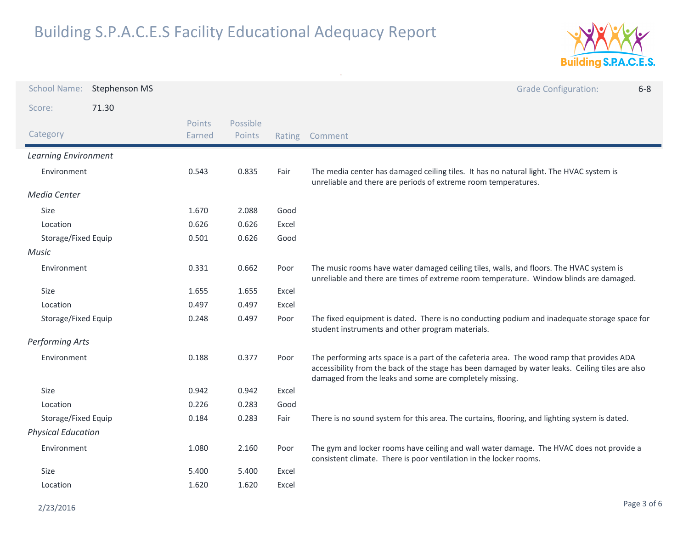

| <b>School Name:</b>       | Stephenson MS |                  |                    |        | <b>Grade Configuration:</b><br>$6 - 8$                                                                                                                                                                                                                    |
|---------------------------|---------------|------------------|--------------------|--------|-----------------------------------------------------------------------------------------------------------------------------------------------------------------------------------------------------------------------------------------------------------|
| Score:                    | 71.30         |                  |                    |        |                                                                                                                                                                                                                                                           |
| Category                  |               | Points<br>Earned | Possible<br>Points | Rating | Comment                                                                                                                                                                                                                                                   |
| Learning Environment      |               |                  |                    |        |                                                                                                                                                                                                                                                           |
| Environment               |               | 0.543            | 0.835              | Fair   | The media center has damaged ceiling tiles. It has no natural light. The HVAC system is<br>unreliable and there are periods of extreme room temperatures.                                                                                                 |
| Media Center              |               |                  |                    |        |                                                                                                                                                                                                                                                           |
| Size                      |               | 1.670            | 2.088              | Good   |                                                                                                                                                                                                                                                           |
| Location                  |               | 0.626            | 0.626              | Excel  |                                                                                                                                                                                                                                                           |
| Storage/Fixed Equip       |               | 0.501            | 0.626              | Good   |                                                                                                                                                                                                                                                           |
| Music                     |               |                  |                    |        |                                                                                                                                                                                                                                                           |
| Environment               |               | 0.331            | 0.662              | Poor   | The music rooms have water damaged ceiling tiles, walls, and floors. The HVAC system is<br>unreliable and there are times of extreme room temperature. Window blinds are damaged.                                                                         |
| Size                      |               | 1.655            | 1.655              | Excel  |                                                                                                                                                                                                                                                           |
| Location                  |               | 0.497            | 0.497              | Excel  |                                                                                                                                                                                                                                                           |
| Storage/Fixed Equip       |               | 0.248            | 0.497              | Poor   | The fixed equipment is dated. There is no conducting podium and inadequate storage space for<br>student instruments and other program materials.                                                                                                          |
| Performing Arts           |               |                  |                    |        |                                                                                                                                                                                                                                                           |
| Environment               |               | 0.188            | 0.377              | Poor   | The performing arts space is a part of the cafeteria area. The wood ramp that provides ADA<br>accessibility from the back of the stage has been damaged by water leaks. Ceiling tiles are also<br>damaged from the leaks and some are completely missing. |
| Size                      |               | 0.942            | 0.942              | Excel  |                                                                                                                                                                                                                                                           |
| Location                  |               | 0.226            | 0.283              | Good   |                                                                                                                                                                                                                                                           |
| Storage/Fixed Equip       |               | 0.184            | 0.283              | Fair   | There is no sound system for this area. The curtains, flooring, and lighting system is dated.                                                                                                                                                             |
| <b>Physical Education</b> |               |                  |                    |        |                                                                                                                                                                                                                                                           |
| Environment               |               | 1.080            | 2.160              | Poor   | The gym and locker rooms have ceiling and wall water damage. The HVAC does not provide a<br>consistent climate. There is poor ventilation in the locker rooms.                                                                                            |
| Size                      |               | 5.400            | 5.400              | Excel  |                                                                                                                                                                                                                                                           |
| Location                  |               | 1.620            | 1.620              | Excel  |                                                                                                                                                                                                                                                           |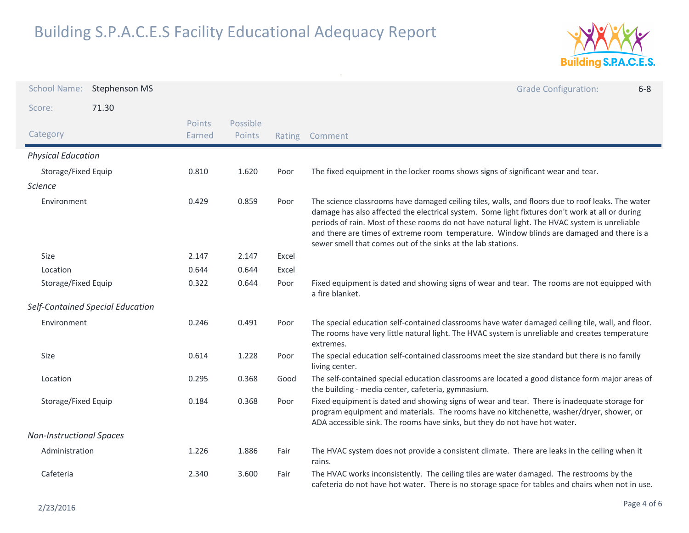

| <b>School Name:</b>             | <b>Stephenson MS</b>             |                  |                    |        | <b>Grade Configuration:</b><br>$6 - 8$                                                                                                                                                                                                                                                                                                                                                                                                                             |
|---------------------------------|----------------------------------|------------------|--------------------|--------|--------------------------------------------------------------------------------------------------------------------------------------------------------------------------------------------------------------------------------------------------------------------------------------------------------------------------------------------------------------------------------------------------------------------------------------------------------------------|
| Score:                          | 71.30                            |                  |                    |        |                                                                                                                                                                                                                                                                                                                                                                                                                                                                    |
| Category                        |                                  | Points<br>Earned | Possible<br>Points | Rating | Comment                                                                                                                                                                                                                                                                                                                                                                                                                                                            |
| <b>Physical Education</b>       |                                  |                  |                    |        |                                                                                                                                                                                                                                                                                                                                                                                                                                                                    |
| Storage/Fixed Equip             |                                  | 0.810            | 1.620              | Poor   | The fixed equipment in the locker rooms shows signs of significant wear and tear.                                                                                                                                                                                                                                                                                                                                                                                  |
| <b>Science</b>                  |                                  |                  |                    |        |                                                                                                                                                                                                                                                                                                                                                                                                                                                                    |
| Environment                     |                                  | 0.429            | 0.859              | Poor   | The science classrooms have damaged ceiling tiles, walls, and floors due to roof leaks. The water<br>damage has also affected the electrical system. Some light fixtures don't work at all or during<br>periods of rain. Most of these rooms do not have natural light. The HVAC system is unreliable<br>and there are times of extreme room temperature. Window blinds are damaged and there is a<br>sewer smell that comes out of the sinks at the lab stations. |
| Size                            |                                  | 2.147            | 2.147              | Excel  |                                                                                                                                                                                                                                                                                                                                                                                                                                                                    |
| Location                        |                                  | 0.644            | 0.644              | Excel  |                                                                                                                                                                                                                                                                                                                                                                                                                                                                    |
| Storage/Fixed Equip             |                                  | 0.322            | 0.644              | Poor   | Fixed equipment is dated and showing signs of wear and tear. The rooms are not equipped with<br>a fire blanket.                                                                                                                                                                                                                                                                                                                                                    |
|                                 | Self-Contained Special Education |                  |                    |        |                                                                                                                                                                                                                                                                                                                                                                                                                                                                    |
| Environment                     |                                  | 0.246            | 0.491              | Poor   | The special education self-contained classrooms have water damaged ceiling tile, wall, and floor.<br>The rooms have very little natural light. The HVAC system is unreliable and creates temperature<br>extremes.                                                                                                                                                                                                                                                  |
| Size                            |                                  | 0.614            | 1.228              | Poor   | The special education self-contained classrooms meet the size standard but there is no family<br>living center.                                                                                                                                                                                                                                                                                                                                                    |
| Location                        |                                  | 0.295            | 0.368              | Good   | The self-contained special education classrooms are located a good distance form major areas of<br>the building - media center, cafeteria, gymnasium.                                                                                                                                                                                                                                                                                                              |
| Storage/Fixed Equip             |                                  | 0.184            | 0.368              | Poor   | Fixed equipment is dated and showing signs of wear and tear. There is inadequate storage for<br>program equipment and materials. The rooms have no kitchenette, washer/dryer, shower, or<br>ADA accessible sink. The rooms have sinks, but they do not have hot water.                                                                                                                                                                                             |
| <b>Non-Instructional Spaces</b> |                                  |                  |                    |        |                                                                                                                                                                                                                                                                                                                                                                                                                                                                    |
| Administration                  |                                  | 1.226            | 1.886              | Fair   | The HVAC system does not provide a consistent climate. There are leaks in the ceiling when it<br>rains.                                                                                                                                                                                                                                                                                                                                                            |
| Cafeteria                       |                                  | 2.340            | 3.600              | Fair   | The HVAC works inconsistently. The ceiling tiles are water damaged. The restrooms by the<br>cafeteria do not have hot water. There is no storage space for tables and chairs when not in use.                                                                                                                                                                                                                                                                      |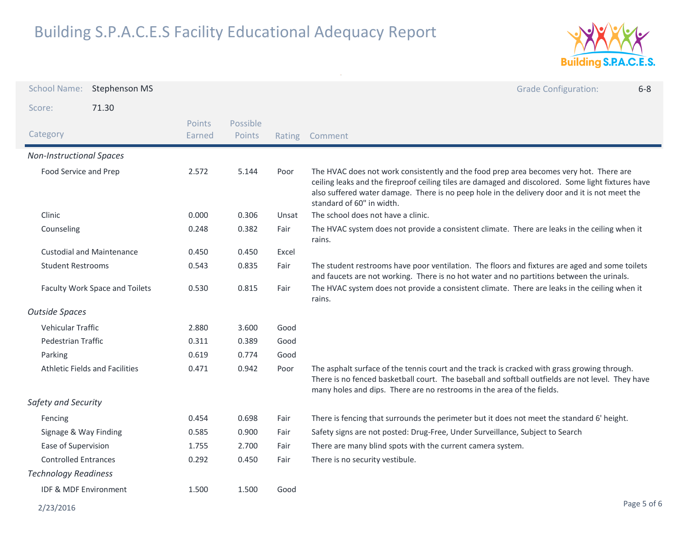

| <b>School Name:</b>              | <b>Stephenson MS</b>                  |                         |                    |       | <b>Grade Configuration:</b><br>$6 - 8$                                                                                                                                                                                                                                                                                     |
|----------------------------------|---------------------------------------|-------------------------|--------------------|-------|----------------------------------------------------------------------------------------------------------------------------------------------------------------------------------------------------------------------------------------------------------------------------------------------------------------------------|
| Score:                           | 71.30                                 |                         |                    |       |                                                                                                                                                                                                                                                                                                                            |
| Category                         |                                       | <b>Points</b><br>Earned | Possible<br>Points |       | Rating Comment                                                                                                                                                                                                                                                                                                             |
| <b>Non-Instructional Spaces</b>  |                                       |                         |                    |       |                                                                                                                                                                                                                                                                                                                            |
| Food Service and Prep            |                                       | 2.572                   | 5.144              | Poor  | The HVAC does not work consistently and the food prep area becomes very hot. There are<br>ceiling leaks and the fireproof ceiling tiles are damaged and discolored. Some light fixtures have<br>also suffered water damage. There is no peep hole in the delivery door and it is not meet the<br>standard of 60" in width. |
| Clinic                           |                                       | 0.000                   | 0.306              | Unsat | The school does not have a clinic.                                                                                                                                                                                                                                                                                         |
| Counseling                       |                                       | 0.248                   | 0.382              | Fair  | The HVAC system does not provide a consistent climate. There are leaks in the ceiling when it<br>rains.                                                                                                                                                                                                                    |
| <b>Custodial and Maintenance</b> |                                       | 0.450                   | 0.450              | Excel |                                                                                                                                                                                                                                                                                                                            |
| <b>Student Restrooms</b>         |                                       | 0.543                   | 0.835              | Fair  | The student restrooms have poor ventilation. The floors and fixtures are aged and some toilets<br>and faucets are not working. There is no hot water and no partitions between the urinals.                                                                                                                                |
| Faculty Work Space and Toilets   |                                       | 0.530                   | 0.815              | Fair  | The HVAC system does not provide a consistent climate. There are leaks in the ceiling when it<br>rains.                                                                                                                                                                                                                    |
| <b>Outside Spaces</b>            |                                       |                         |                    |       |                                                                                                                                                                                                                                                                                                                            |
| <b>Vehicular Traffic</b>         |                                       | 2.880                   | 3.600              | Good  |                                                                                                                                                                                                                                                                                                                            |
| Pedestrian Traffic               |                                       | 0.311                   | 0.389              | Good  |                                                                                                                                                                                                                                                                                                                            |
| Parking                          |                                       | 0.619                   | 0.774              | Good  |                                                                                                                                                                                                                                                                                                                            |
|                                  | <b>Athletic Fields and Facilities</b> | 0.471                   | 0.942              | Poor  | The asphalt surface of the tennis court and the track is cracked with grass growing through.<br>There is no fenced basketball court. The baseball and softball outfields are not level. They have<br>many holes and dips. There are no restrooms in the area of the fields.                                                |
| Safety and Security              |                                       |                         |                    |       |                                                                                                                                                                                                                                                                                                                            |
| Fencing                          |                                       | 0.454                   | 0.698              | Fair  | There is fencing that surrounds the perimeter but it does not meet the standard 6' height.                                                                                                                                                                                                                                 |
| Signage & Way Finding            |                                       | 0.585                   | 0.900              | Fair  | Safety signs are not posted: Drug-Free, Under Surveillance, Subject to Search                                                                                                                                                                                                                                              |
| Ease of Supervision              |                                       | 1.755                   | 2.700              | Fair  | There are many blind spots with the current camera system.                                                                                                                                                                                                                                                                 |
| <b>Controlled Entrances</b>      |                                       | 0.292                   | 0.450              | Fair  | There is no security vestibule.                                                                                                                                                                                                                                                                                            |
| <b>Technology Readiness</b>      |                                       |                         |                    |       |                                                                                                                                                                                                                                                                                                                            |
| <b>IDF &amp; MDF Environment</b> |                                       | 1.500                   | 1.500              | Good  |                                                                                                                                                                                                                                                                                                                            |
| 2/23/2016                        |                                       |                         |                    |       | Page 5 of 6                                                                                                                                                                                                                                                                                                                |